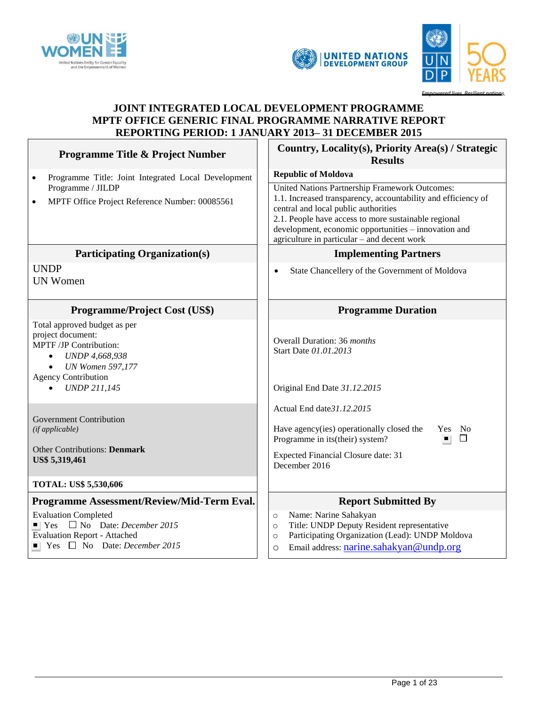

 $\mathbf{r}$ 



#### ad li F.

h

# **JOINT INTEGRATED LOCAL DEVELOPMENT PROGRAMME MPTF OFFICE GENERIC FINAL PROGRAMME NARRATIVE REPORT REPORTING PERIOD: 1 JANUARY 2013– 31 DECEMBER 2015**

| <b>Programme Title &amp; Project Number</b>                                                                                                                                                                                                     | Country, Locality(s), Priority Area(s) / Strategic<br><b>Results</b>                                                                                                                                                                                                                                                                                 |  |  |
|-------------------------------------------------------------------------------------------------------------------------------------------------------------------------------------------------------------------------------------------------|------------------------------------------------------------------------------------------------------------------------------------------------------------------------------------------------------------------------------------------------------------------------------------------------------------------------------------------------------|--|--|
| Programme Title: Joint Integrated Local Development<br>$\bullet$<br>Programme / JILDP<br>MPTF Office Project Reference Number: 00085561<br>$\bullet$                                                                                            | <b>Republic of Moldova</b><br>United Nations Partnership Framework Outcomes:<br>1.1. Increased transparency, accountability and efficiency of<br>central and local public authorities<br>2.1. People have access to more sustainable regional<br>development, economic opportunities – innovation and<br>agriculture in particular - and decent work |  |  |
| <b>Participating Organization(s)</b>                                                                                                                                                                                                            | <b>Implementing Partners</b>                                                                                                                                                                                                                                                                                                                         |  |  |
| <b>UNDP</b><br><b>UN Women</b>                                                                                                                                                                                                                  | State Chancellery of the Government of Moldova<br>$\bullet$                                                                                                                                                                                                                                                                                          |  |  |
| <b>Programme/Project Cost (US\$)</b>                                                                                                                                                                                                            | <b>Programme Duration</b>                                                                                                                                                                                                                                                                                                                            |  |  |
| Total approved budget as per<br>project document:<br>MPTF /JP Contribution:<br><b>UNDP 4,668,938</b><br><b>UN Women 597,177</b><br><b>Agency Contribution</b><br><b>UNDP 211,145</b>                                                            | Overall Duration: 36 months<br>Start Date 01.01.2013<br>Original End Date 31.12.2015                                                                                                                                                                                                                                                                 |  |  |
| <b>Government Contribution</b><br>(if applicable)<br><b>Other Contributions: Denmark</b><br>US\$ 5,319,461                                                                                                                                      | Actual End date 31.12.2015<br>Have agency(ies) operationally closed the<br>Yes No<br>$\Box$<br>Programme in its(their) system?<br><b>Expected Financial Closure date: 31</b><br>December 2016                                                                                                                                                        |  |  |
| <b>TOTAL: US\$ 5,530,606</b>                                                                                                                                                                                                                    |                                                                                                                                                                                                                                                                                                                                                      |  |  |
| Programme Assessment/Review/Mid-Term Eval.<br><b>Evaluation Completed</b><br>$\blacksquare$ Yes $\blacksquare$ No Date: <i>December</i> 2015<br><b>Evaluation Report - Attached</b><br>$\blacksquare$ Yes $\blacksquare$ No Date: December 2015 | <b>Report Submitted By</b><br>Name: Narine Sahakyan<br>$\circ$<br>Title: UNDP Deputy Resident representative<br>$\circ$<br>Participating Organization (Lead): UNDP Moldova<br>$\circ$<br>Email address: narine.sahakyan@undp.org<br>O                                                                                                                |  |  |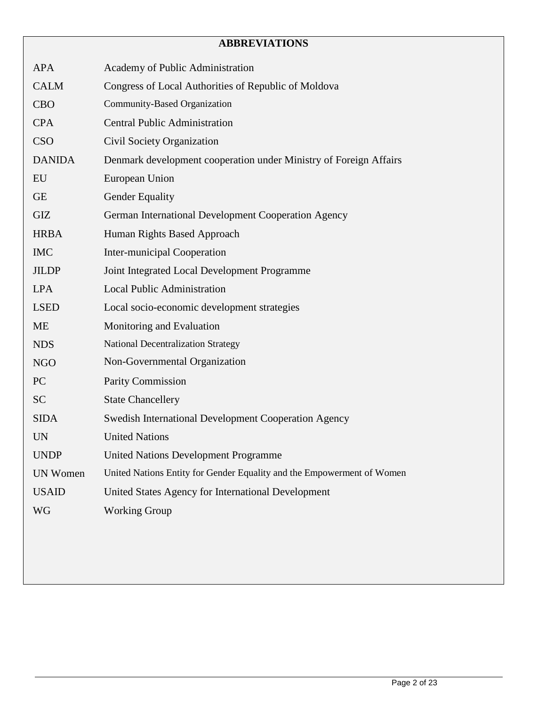# **ABBREVIATIONS**

| <b>APA</b>      | Academy of Public Administration                                       |
|-----------------|------------------------------------------------------------------------|
| <b>CALM</b>     | Congress of Local Authorities of Republic of Moldova                   |
| <b>CBO</b>      | Community-Based Organization                                           |
| <b>CPA</b>      | <b>Central Public Administration</b>                                   |
| <b>CSO</b>      | Civil Society Organization                                             |
| <b>DANIDA</b>   | Denmark development cooperation under Ministry of Foreign Affairs      |
| EU              | European Union                                                         |
| <b>GE</b>       | <b>Gender Equality</b>                                                 |
| <b>GIZ</b>      | German International Development Cooperation Agency                    |
| <b>HRBA</b>     | Human Rights Based Approach                                            |
| <b>IMC</b>      | <b>Inter-municipal Cooperation</b>                                     |
| <b>JILDP</b>    | Joint Integrated Local Development Programme                           |
| <b>LPA</b>      | <b>Local Public Administration</b>                                     |
| <b>LSED</b>     | Local socio-economic development strategies                            |
| ME              | Monitoring and Evaluation                                              |
| <b>NDS</b>      | <b>National Decentralization Strategy</b>                              |
| <b>NGO</b>      | Non-Governmental Organization                                          |
| PC              | <b>Parity Commission</b>                                               |
| <b>SC</b>       | <b>State Chancellery</b>                                               |
| <b>SIDA</b>     | Swedish International Development Cooperation Agency                   |
| <b>UN</b>       | <b>United Nations</b>                                                  |
| <b>UNDP</b>     | <b>United Nations Development Programme</b>                            |
| <b>UN Women</b> | United Nations Entity for Gender Equality and the Empowerment of Women |
| <b>USAID</b>    | United States Agency for International Development                     |
| WG              | <b>Working Group</b>                                                   |
|                 |                                                                        |
|                 |                                                                        |
|                 |                                                                        |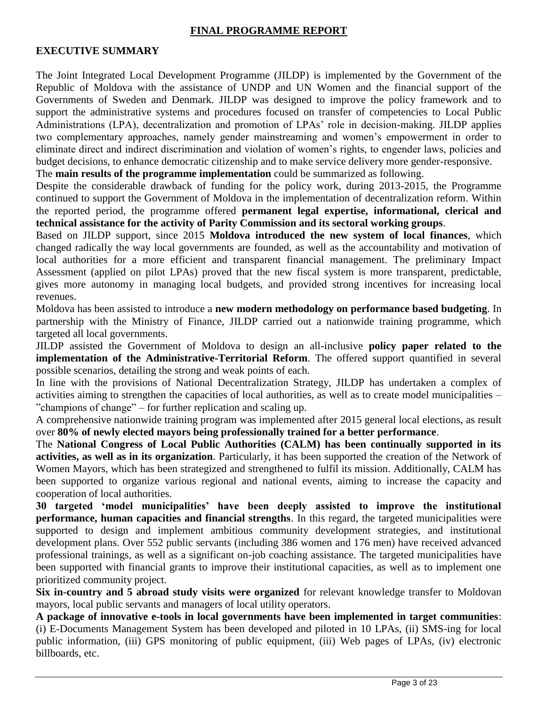#### **FINAL PROGRAMME REPORT**

#### **EXECUTIVE SUMMARY**

The Joint Integrated Local Development Programme (JILDP) is implemented by the Government of the Republic of Moldova with the assistance of UNDP and UN Women and the financial support of the Governments of Sweden and Denmark. JILDP was designed to improve the policy framework and to support the administrative systems and procedures focused on transfer of competencies to Local Public Administrations (LPA), decentralization and promotion of LPAs' role in decision-making. JILDP applies two complementary approaches, namely gender mainstreaming and women's empowerment in order to eliminate direct and indirect discrimination and violation of women's rights, to engender laws, policies and budget decisions, to enhance democratic citizenship and to make service delivery more gender-responsive. The **main results of the programme implementation** could be summarized as following.

Despite the considerable drawback of funding for the policy work, during 2013-2015, the Programme continued to support the Government of Moldova in the implementation of decentralization reform. Within the reported period, the programme offered **permanent legal expertise, informational, clerical and technical assistance for the activity of Parity Commission and its sectoral working groups**.

Based on JILDP support, since 2015 **Moldova introduced the new system of local finances**, which changed radically the way local governments are founded, as well as the accountability and motivation of local authorities for a more efficient and transparent financial management. The preliminary Impact Assessment (applied on pilot LPAs) proved that the new fiscal system is more transparent, predictable, gives more autonomy in managing local budgets, and provided strong incentives for increasing local revenues.

Moldova has been assisted to introduce a **new modern methodology on performance based budgeting**. In partnership with the Ministry of Finance, JILDP carried out a nationwide training programme, which targeted all local governments.

JILDP assisted the Government of Moldova to design an all-inclusive **policy paper related to the implementation of the Administrative-Territorial Reform**. The offered support quantified in several possible scenarios, detailing the strong and weak points of each.

In line with the provisions of National Decentralization Strategy, JILDP has undertaken a complex of activities aiming to strengthen the capacities of local authorities, as well as to create model municipalities – "champions of change" – for further replication and scaling up.

A comprehensive nationwide training program was implemented after 2015 general local elections, as result over **80% of newly elected mayors being professionally trained for a better performance**.

The **National Congress of Local Public Authorities (CALM) has been continually supported in its activities, as well as in its organization**. Particularly, it has been supported the creation of the Network of Women Mayors, which has been strategized and strengthened to fulfil its mission. Additionally, CALM has been supported to organize various regional and national events, aiming to increase the capacity and cooperation of local authorities.

**30 targeted 'model municipalities' have been deeply assisted to improve the institutional performance, human capacities and financial strengths**. In this regard, the targeted municipalities were supported to design and implement ambitious community development strategies, and institutional development plans. Over 552 public servants (including 386 women and 176 men) have received advanced professional trainings, as well as a significant on-job coaching assistance. The targeted municipalities have been supported with financial grants to improve their institutional capacities, as well as to implement one prioritized community project.

**Six in-country and 5 abroad study visits were organized** for relevant knowledge transfer to Moldovan mayors, local public servants and managers of local utility operators.

**A package of innovative e-tools in local governments have been implemented in target communities**: (i) E-Documents Management System has been developed and piloted in 10 LPAs, (ii) SMS-ing for local public information, (iii) GPS monitoring of public equipment, (iii) Web pages of LPAs, (iv) electronic billboards, etc.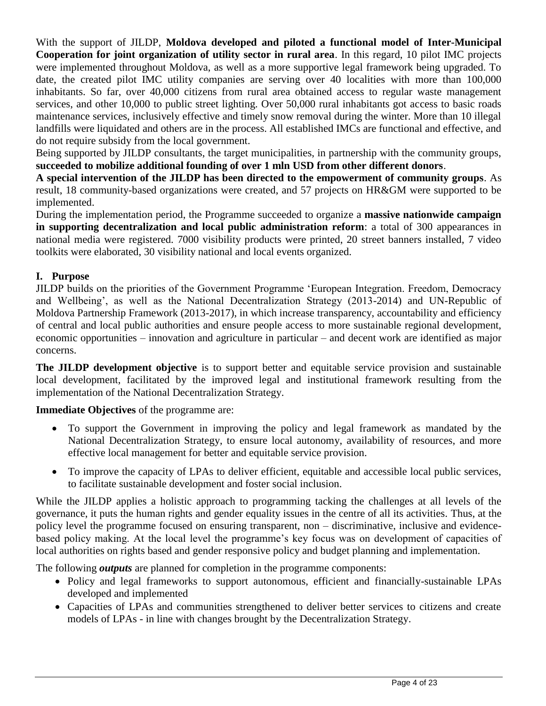With the support of JILDP, **Moldova developed and piloted a functional model of Inter-Municipal Cooperation for joint organization of utility sector in rural area**. In this regard, 10 pilot IMC projects were implemented throughout Moldova, as well as a more supportive legal framework being upgraded. To date, the created pilot IMC utility companies are serving over 40 localities with more than 100,000 inhabitants. So far, over 40,000 citizens from rural area obtained access to regular waste management services, and other 10,000 to public street lighting. Over 50,000 rural inhabitants got access to basic roads maintenance services, inclusively effective and timely snow removal during the winter. More than 10 illegal landfills were liquidated and others are in the process. All established IMCs are functional and effective, and do not require subsidy from the local government.

Being supported by JILDP consultants, the target municipalities, in partnership with the community groups, **succeeded to mobilize additional founding of over 1 mln USD from other different donors**.

**A special intervention of the JILDP has been directed to the empowerment of community groups**. As result, 18 community-based organizations were created, and 57 projects on HR&GM were supported to be implemented.

During the implementation period, the Programme succeeded to organize a **massive nationwide campaign in supporting decentralization and local public administration reform**: a total of 300 appearances in national media were registered. 7000 visibility products were printed, 20 street banners installed, 7 video toolkits were elaborated, 30 visibility national and local events organized.

#### **I. Purpose**

JILDP builds on the priorities of the Government Programme 'European Integration. Freedom, Democracy and Wellbeing', as well as the National Decentralization Strategy (2013-2014) and UN-Republic of Moldova Partnership Framework (2013-2017), in which increase transparency, accountability and efficiency of central and local public authorities and ensure people access to more sustainable regional development, economic opportunities – innovation and agriculture in particular – and decent work are identified as major concerns.

**The JILDP development objective** is to support better and equitable service provision and sustainable local development, facilitated by the improved legal and institutional framework resulting from the implementation of the National Decentralization Strategy.

**Immediate Objectives** of the programme are:

- To support the Government in improving the policy and legal framework as mandated by the National Decentralization Strategy, to ensure local autonomy, availability of resources, and more effective local management for better and equitable service provision.
- To improve the capacity of LPAs to deliver efficient, equitable and accessible local public services, to facilitate sustainable development and foster social inclusion.

While the JILDP applies a holistic approach to programming tacking the challenges at all levels of the governance, it puts the human rights and gender equality issues in the centre of all its activities. Thus, at the policy level the programme focused on ensuring transparent, non – discriminative, inclusive and evidencebased policy making. At the local level the programme's key focus was on development of capacities of local authorities on rights based and gender responsive policy and budget planning and implementation.

The following *outputs* are planned for completion in the programme components:

- Policy and legal frameworks to support autonomous, efficient and financially-sustainable LPAs developed and implemented
- Capacities of LPAs and communities strengthened to deliver better services to citizens and create models of LPAs - in line with changes brought by the Decentralization Strategy.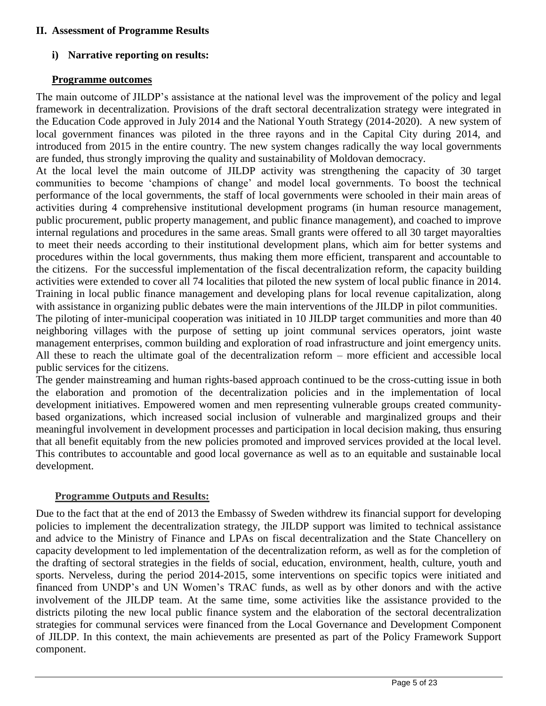#### **II. Assessment of Programme Results**

#### **i) Narrative reporting on results:**

#### **Programme outcomes**

The main outcome of JILDP's assistance at the national level was the improvement of the policy and legal framework in decentralization. Provisions of the draft sectoral decentralization strategy were integrated in the Education Code approved in July 2014 and the National Youth Strategy (2014-2020). A new system of local government finances was piloted in the three rayons and in the Capital City during 2014, and introduced from 2015 in the entire country. The new system changes radically the way local governments are funded, thus strongly improving the quality and sustainability of Moldovan democracy.

At the local level the main outcome of JILDP activity was strengthening the capacity of 30 target communities to become 'champions of change' and model local governments. To boost the technical performance of the local governments, the staff of local governments were schooled in their main areas of activities during 4 comprehensive institutional development programs (in human resource management, public procurement, public property management, and public finance management), and coached to improve internal regulations and procedures in the same areas. Small grants were offered to all 30 target mayoralties to meet their needs according to their institutional development plans, which aim for better systems and procedures within the local governments, thus making them more efficient, transparent and accountable to the citizens. For the successful implementation of the fiscal decentralization reform, the capacity building activities were extended to cover all 74 localities that piloted the new system of local public finance in 2014. Training in local public finance management and developing plans for local revenue capitalization, along with assistance in organizing public debates were the main interventions of the JILDP in pilot communities. The piloting of inter-municipal cooperation was initiated in 10 JILDP target communities and more than 40 neighboring villages with the purpose of setting up joint communal services operators, joint waste management enterprises, common building and exploration of road infrastructure and joint emergency units. All these to reach the ultimate goal of the decentralization reform – more efficient and accessible local public services for the citizens.

The gender mainstreaming and human rights-based approach continued to be the cross-cutting issue in both the elaboration and promotion of the decentralization policies and in the implementation of local development initiatives. Empowered women and men representing vulnerable groups created communitybased organizations, which increased social inclusion of vulnerable and marginalized groups and their meaningful involvement in development processes and participation in local decision making, thus ensuring that all benefit equitably from the new policies promoted and improved services provided at the local level. This contributes to accountable and good local governance as well as to an equitable and sustainable local development.

#### **Programme Outputs and Results:**

Due to the fact that at the end of 2013 the Embassy of Sweden withdrew its financial support for developing policies to implement the decentralization strategy, the JILDP support was limited to technical assistance and advice to the Ministry of Finance and LPAs on fiscal decentralization and the State Chancellery on capacity development to led implementation of the decentralization reform, as well as for the completion of the drafting of sectoral strategies in the fields of social, education, environment, health, culture, youth and sports. Nerveless, during the period 2014-2015, some interventions on specific topics were initiated and financed from UNDP's and UN Women's TRAC funds, as well as by other donors and with the active involvement of the JILDP team. At the same time, some activities like the assistance provided to the districts piloting the new local public finance system and the elaboration of the sectoral decentralization strategies for communal services were financed from the Local Governance and Development Component of JILDP. In this context, the main achievements are presented as part of the Policy Framework Support component.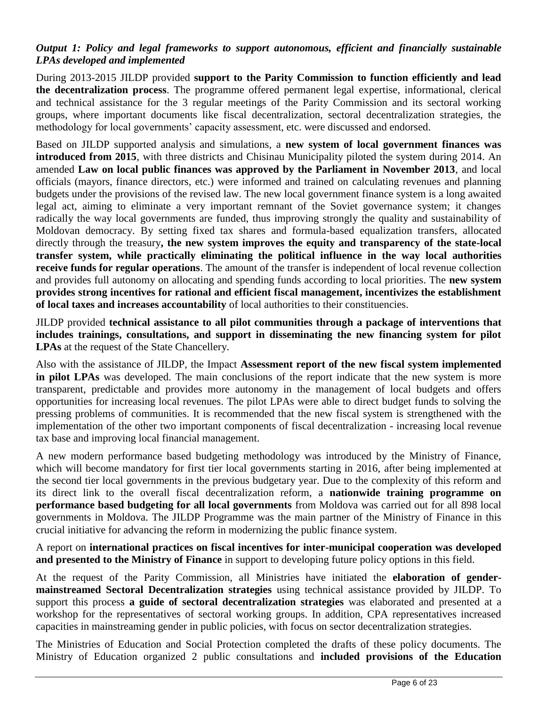#### *Output 1: Policy and legal frameworks to support autonomous, efficient and financially sustainable LPAs developed and implemented*

During 2013-2015 JILDP provided **support to the Parity Commission to function efficiently and lead the decentralization process**. The programme offered permanent legal expertise, informational, clerical and technical assistance for the 3 regular meetings of the Parity Commission and its sectoral working groups, where important documents like fiscal decentralization, sectoral decentralization strategies, the methodology for local governments' capacity assessment, etc. were discussed and endorsed.

Based on JILDP supported analysis and simulations, a **new system of local government finances was introduced from 2015**, with three districts and Chisinau Municipality piloted the system during 2014. An amended **Law on local public finances was approved by the Parliament in November 2013**, and local officials (mayors, finance directors, etc.) were informed and trained on calculating revenues and planning budgets under the provisions of the revised law. The new local government finance system is a long awaited legal act, aiming to eliminate a very important remnant of the Soviet governance system; it changes radically the way local governments are funded, thus improving strongly the quality and sustainability of Moldovan democracy. By setting fixed tax shares and formula-based equalization transfers, allocated directly through the treasury**, the new system improves the equity and transparency of the state-local transfer system, while practically eliminating the political influence in the way local authorities receive funds for regular operations**. The amount of the transfer is independent of local revenue collection and provides full autonomy on allocating and spending funds according to local priorities. The **new system provides strong incentives for rational and efficient fiscal management, incentivizes the establishment of local taxes and increases accountability** of local authorities to their constituencies.

JILDP provided **technical assistance to all pilot communities through a package of interventions that includes trainings, consultations, and support in disseminating the new financing system for pilot LPAs** at the request of the State Chancellery.

Also with the assistance of JILDP, the Impact **Assessment report of the new fiscal system implemented in pilot LPAs** was developed. The main conclusions of the report indicate that the new system is more transparent, predictable and provides more autonomy in the management of local budgets and offers opportunities for increasing local revenues. The pilot LPAs were able to direct budget funds to solving the pressing problems of communities. It is recommended that the new fiscal system is strengthened with the implementation of the other two important components of fiscal decentralization - increasing local revenue tax base and improving local financial management.

A new modern performance based budgeting methodology was introduced by the Ministry of Finance, which will become mandatory for first tier local governments starting in 2016, after being implemented at the second tier local governments in the previous budgetary year. Due to the complexity of this reform and its direct link to the overall fiscal decentralization reform, a **nationwide training programme on performance based budgeting for all local governments** from Moldova was carried out for all 898 local governments in Moldova. The JILDP Programme was the main partner of the Ministry of Finance in this crucial initiative for advancing the reform in modernizing the public finance system.

A report on **international practices on fiscal incentives for inter-municipal cooperation was developed and presented to the Ministry of Finance** in support to developing future policy options in this field.

At the request of the Parity Commission, all Ministries have initiated the **elaboration of gendermainstreamed Sectoral Decentralization strategies** using technical assistance provided by JILDP. To support this process **a guide of sectoral decentralization strategies** was elaborated and presented at a workshop for the representatives of sectoral working groups. In addition, CPA representatives increased capacities in mainstreaming gender in public policies, with focus on sector decentralization strategies.

The Ministries of Education and Social Protection completed the drafts of these policy documents. The Ministry of Education organized 2 public consultations and **included provisions of the Education**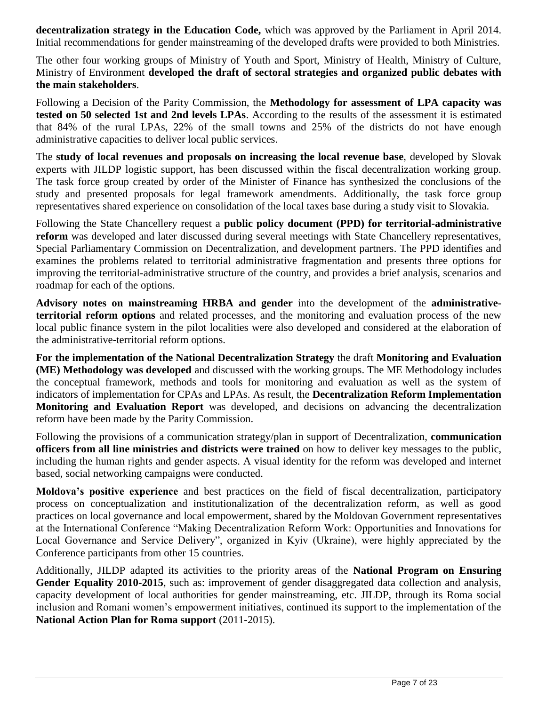**decentralization strategy in the Education Code,** which was approved by the Parliament in April 2014. Initial recommendations for gender mainstreaming of the developed drafts were provided to both Ministries.

The other four working groups of Ministry of Youth and Sport, Ministry of Health, Ministry of Culture, Ministry of Environment **developed the draft of sectoral strategies and organized public debates with the main stakeholders**.

Following a Decision of the Parity Commission, the **Methodology for assessment of LPA capacity was tested on 50 selected 1st and 2nd levels LPAs**. According to the results of the assessment it is estimated that 84% of the rural LPAs, 22% of the small towns and 25% of the districts do not have enough administrative capacities to deliver local public services.

The **study of local revenues and proposals on increasing the local revenue base**, developed by Slovak experts with JILDP logistic support, has been discussed within the fiscal decentralization working group. The task force group created by order of the Minister of Finance has synthesized the conclusions of the study and presented proposals for legal framework amendments. Additionally, the task force group representatives shared experience on consolidation of the local taxes base during a study visit to Slovakia.

Following the State Chancellery request a **public policy document (PPD) for territorial-administrative reform** was developed and later discussed during several meetings with State Chancellery representatives, Special Parliamentary Commission on Decentralization, and development partners. The PPD identifies and examines the problems related to territorial administrative fragmentation and presents three options for improving the territorial-administrative structure of the country, and provides a brief analysis, scenarios and roadmap for each of the options.

**Advisory notes on mainstreaming HRBA and gender** into the development of the **administrativeterritorial reform options** and related processes, and the monitoring and evaluation process of the new local public finance system in the pilot localities were also developed and considered at the elaboration of the administrative-territorial reform options.

**For the implementation of the National Decentralization Strategy** the draft **Monitoring and Evaluation (ME) Methodology was developed** and discussed with the working groups. The ME Methodology includes the conceptual framework, methods and tools for monitoring and evaluation as well as the system of indicators of implementation for CPAs and LPAs. As result, the **Decentralization Reform Implementation Monitoring and Evaluation Report** was developed, and decisions on advancing the decentralization reform have been made by the Parity Commission.

Following the provisions of a communication strategy/plan in support of Decentralization, **communication officers from all line ministries and districts were trained** on how to deliver key messages to the public, including the human rights and gender aspects. A visual identity for the reform was developed and internet based, social networking campaigns were conducted.

**Moldova's positive experience** and best practices on the field of fiscal decentralization, participatory process on conceptualization and institutionalization of the decentralization reform, as well as good practices on local governance and local empowerment, shared by the Moldovan Government representatives at the International Conference "Making Decentralization Reform Work: Opportunities and Innovations for Local Governance and Service Delivery", organized in Kyiv (Ukraine), were highly appreciated by the Conference participants from other 15 countries.

Additionally, JILDP adapted its activities to the priority areas of the **National Program on Ensuring Gender Equality 2010-2015**, such as: improvement of gender disaggregated data collection and analysis, capacity development of local authorities for gender mainstreaming, etc. JILDP, through its Roma social inclusion and Romani women's empowerment initiatives, continued its support to the implementation of the **National Action Plan for Roma support** (2011-2015).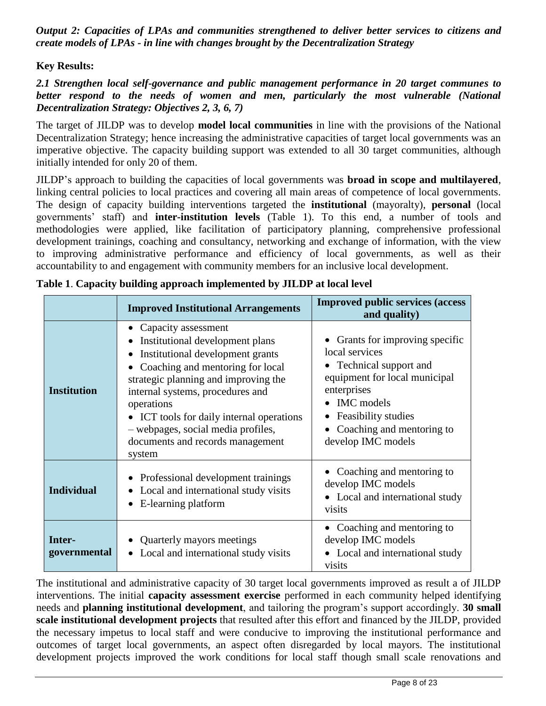*Output 2: Capacities of LPAs and communities strengthened to deliver better services to citizens and create models of LPAs - in line with changes brought by the Decentralization Strategy* 

**Key Results:**

*2.1 Strengthen local self-governance and public management performance in 20 target communes to better respond to the needs of women and men, particularly the most vulnerable (National Decentralization Strategy: Objectives 2, 3, 6, 7)*

The target of JILDP was to develop **model local communities** in line with the provisions of the National Decentralization Strategy; hence increasing the administrative capacities of target local governments was an imperative objective. The capacity building support was extended to all 30 target communities, although initially intended for only 20 of them.

JILDP's approach to building the capacities of local governments was **broad in scope and multilayered**, linking central policies to local practices and covering all main areas of competence of local governments. The design of capacity building interventions targeted the **institutional** (mayoralty), **personal** (local governments' staff) and **inter-institution levels** (Table 1). To this end, a number of tools and methodologies were applied, like facilitation of participatory planning, comprehensive professional development trainings, coaching and consultancy, networking and exchange of information, with the view to improving administrative performance and efficiency of local governments, as well as their accountability to and engagement with community members for an inclusive local development.

|                        | <b>Improved Institutional Arrangements</b>                                                                                                                                                                                                                                                                                                                               | <b>Improved public services (access)</b><br>and quality)                                                                                                                                                                                 |
|------------------------|--------------------------------------------------------------------------------------------------------------------------------------------------------------------------------------------------------------------------------------------------------------------------------------------------------------------------------------------------------------------------|------------------------------------------------------------------------------------------------------------------------------------------------------------------------------------------------------------------------------------------|
| <b>Institution</b>     | • Capacity assessment<br>Institutional development plans<br>Institutional development grants<br>$\bullet$<br>Coaching and mentoring for local<br>strategic planning and improving the<br>internal systems, procedures and<br>operations<br>• ICT tools for daily internal operations<br>- webpages, social media profiles,<br>documents and records management<br>system | • Grants for improving specific<br>local services<br>• Technical support and<br>equipment for local municipal<br>enterprises<br><b>IMC</b> models<br>Feasibility studies<br>Coaching and mentoring to<br>$\bullet$<br>develop IMC models |
| <b>Individual</b>      | Professional development trainings<br>Local and international study visits<br>• E-learning platform                                                                                                                                                                                                                                                                      | • Coaching and mentoring to<br>develop IMC models<br>• Local and international study<br>visits                                                                                                                                           |
| Inter-<br>governmental | Quarterly mayors meetings<br>Local and international study visits                                                                                                                                                                                                                                                                                                        | • Coaching and mentoring to<br>develop IMC models<br>• Local and international study<br>visits                                                                                                                                           |

|  |  | Table 1. Capacity building approach implemented by JILDP at local level |  |  |
|--|--|-------------------------------------------------------------------------|--|--|
|  |  |                                                                         |  |  |

The institutional and administrative capacity of 30 target local governments improved as result a of JILDP interventions. The initial **capacity assessment exercise** performed in each community helped identifying needs and **planning institutional development**, and tailoring the program's support accordingly. **30 small scale institutional development projects** that resulted after this effort and financed by the JILDP, provided the necessary impetus to local staff and were conducive to improving the institutional performance and outcomes of target local governments, an aspect often disregarded by local mayors. The institutional development projects improved the work conditions for local staff though small scale renovations and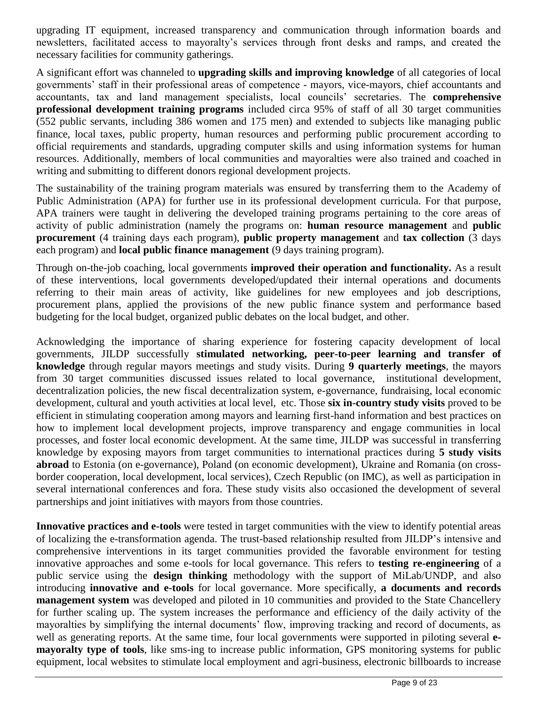upgrading IT equipment, increased transparency and communication through information boards and newsletters, facilitated access to mayoralty's services through front desks and ramps, and created the necessary facilities for community gatherings.

A significant effort was channeled to **upgrading skills and improving knowledge** of all categories of local governments' staff in their professional areas of competence - mayors, vice-mayors, chief accountants and accountants, tax and land management specialists, local councils' secretaries. The **comprehensive professional development training programs** included circa 95% of staff of all 30 target communities (552 public servants, including 386 women and 175 men) and extended to subjects like managing public finance, local taxes, public property, human resources and performing public procurement according to official requirements and standards, upgrading computer skills and using information systems for human resources. Additionally, members of local communities and mayoralties were also trained and coached in writing and submitting to different donors regional development projects.

The sustainability of the training program materials was ensured by transferring them to the Academy of Public Administration (APA) for further use in its professional development curricula. For that purpose, APA trainers were taught in delivering the developed training programs pertaining to the core areas of activity of public administration (namely the programs on: **human resource management** and **public procurement** (4 training days each program), **public property management** and **tax collection** (3 days each program) and **local public finance management** (9 days training program).

Through on-the-job coaching, local governments **improved their operation and functionality.** As a result of these interventions, local governments developed/updated their internal operations and documents referring to their main areas of activity, like guidelines for new employees and job descriptions, procurement plans, applied the provisions of the new public finance system and performance based budgeting for the local budget, organized public debates on the local budget, and other.

Acknowledging the importance of sharing experience for fostering capacity development of local governments, JILDP successfully **stimulated networking, peer-to-peer learning and transfer of knowledge** through regular mayors meetings and study visits. During **9 quarterly meetings**, the mayors from 30 target communities discussed issues related to local governance, institutional development, decentralization policies, the new fiscal decentralization system, e-governance, fundraising, local economic development, cultural and youth activities at local level, etc. Those **six in-country study visits** proved to be efficient in stimulating cooperation among mayors and learning first-hand information and best practices on how to implement local development projects, improve transparency and engage communities in local processes, and foster local economic development. At the same time, JILDP was successful in transferring knowledge by exposing mayors from target communities to international practices during **5 study visits abroad** to Estonia (on e-governance), Poland (on economic development), Ukraine and Romania (on crossborder cooperation, local development, local services), Czech Republic (on IMC), as well as participation in several international conferences and fora. These study visits also occasioned the development of several partnerships and joint initiatives with mayors from those countries.

**Innovative practices and e-tools** were tested in target communities with the view to identify potential areas of localizing the e-transformation agenda. The trust-based relationship resulted from JILDP's intensive and comprehensive interventions in its target communities provided the favorable environment for testing innovative approaches and some e-tools for local governance. This refers to **testing re-engineering** of a public service using the **design thinking** methodology with the support of MiLab/UNDP, and also introducing **innovative and e-tools** for local governance. More specifically, **a documents and records management system** was developed and piloted in 10 communities and provided to the State Chancellery for further scaling up. The system increases the performance and efficiency of the daily activity of the mayoralties by simplifying the internal documents' flow, improving tracking and record of documents, as well as generating reports. At the same time, four local governments were supported in piloting several **emayoralty type of tools**, like sms-ing to increase public information, GPS monitoring systems for public equipment, local websites to stimulate local employment and agri-business, electronic billboards to increase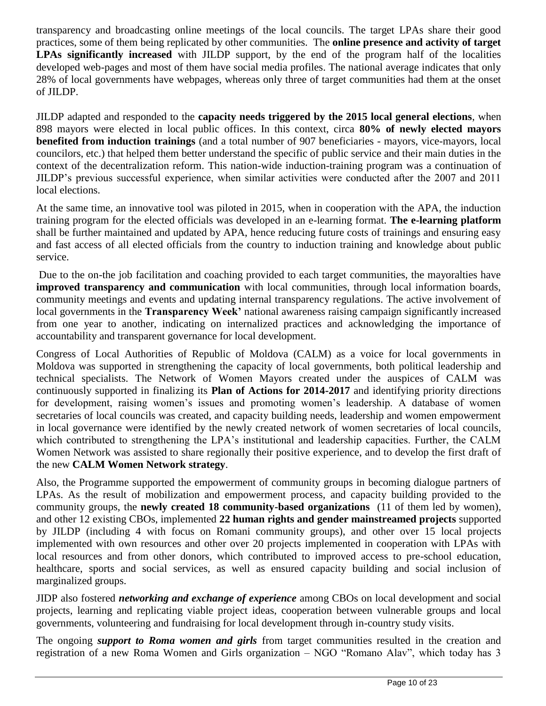transparency and broadcasting online meetings of the local councils. The target LPAs share their good practices, some of them being replicated by other communities. The **online presence and activity of target LPAs significantly increased** with JILDP support, by the end of the program half of the localities developed web-pages and most of them have social media profiles. The national average indicates that only 28% of local governments have webpages, whereas only three of target communities had them at the onset of JILDP.

JILDP adapted and responded to the **capacity needs triggered by the 2015 local general elections**, when 898 mayors were elected in local public offices. In this context, circa **80% of newly elected mayors benefited from induction trainings** (and a total number of 907 beneficiaries - mayors, vice-mayors, local councilors, etc.) that helped them better understand the specific of public service and their main duties in the context of the decentralization reform. This nation-wide induction-training program was a continuation of JILDP's previous successful experience, when similar activities were conducted after the 2007 and 2011 local elections.

At the same time, an innovative tool was piloted in 2015, when in cooperation with the APA, the induction training program for the elected officials was developed in an e-learning format. **The e-learning platform** shall be further maintained and updated by APA, hence reducing future costs of trainings and ensuring easy and fast access of all elected officials from the country to induction training and knowledge about public service.

Due to the on-the job facilitation and coaching provided to each target communities, the mayoralties have **improved transparency and communication** with local communities, through local information boards, community meetings and events and updating internal transparency regulations. The active involvement of local governments in the **Transparency Week'** national awareness raising campaign significantly increased from one year to another, indicating on internalized practices and acknowledging the importance of accountability and transparent governance for local development.

Congress of Local Authorities of Republic of Moldova (CALM) as a voice for local governments in Moldova was supported in strengthening the capacity of local governments, both political leadership and technical specialists. The Network of Women Mayors created under the auspices of CALM was continuously supported in finalizing its **Plan of Actions for 2014-2017** and identifying priority directions for development, raising women's issues and promoting women's leadership. A database of women secretaries of local councils was created, and capacity building needs, leadership and women empowerment in local governance were identified by the newly created network of women secretaries of local councils, which contributed to strengthening the LPA's institutional and leadership capacities. Further, the CALM Women Network was assisted to share regionally their positive experience, and to develop the first draft of the new **CALM Women Network strategy**.

Also, the Programme supported the empowerment of community groups in becoming dialogue partners of LPAs. As the result of mobilization and empowerment process, and capacity building provided to the community groups, the **newly created 18 community-based organizations** (11 of them led by women), and other 12 existing CBOs, implemented **22 human rights and gender mainstreamed projects** supported by JILDP (including 4 with focus on Romani community groups), and other over 15 local projects implemented with own resources and other over 20 projects implemented in cooperation with LPAs with local resources and from other donors, which contributed to improved access to pre-school education, healthcare, sports and social services, as well as ensured capacity building and social inclusion of marginalized groups.

JIDP also fostered *networking and exchange of experience* among CBOs on local development and social projects, learning and replicating viable project ideas, cooperation between vulnerable groups and local governments, volunteering and fundraising for local development through in-country study visits.

The ongoing *support to Roma women and girls* from target communities resulted in the creation and registration of a new Roma Women and Girls organization – NGO "Romano Alav", which today has 3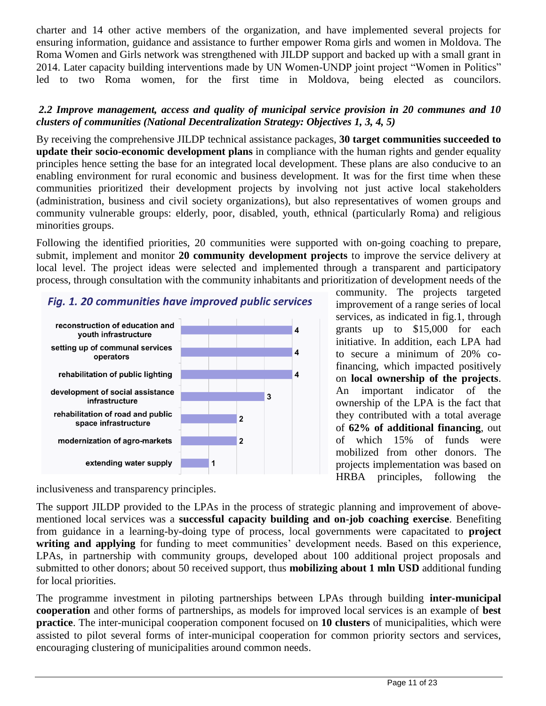charter and 14 other active members of the organization, and have implemented several projects for ensuring information, guidance and assistance to further empower Roma girls and women in Moldova. The Roma Women and Girls network was strengthened with JILDP support and backed up with a small grant in 2014. Later capacity building interventions made by UN Women-UNDP joint project "Women in Politics" led to two Roma women, for the first time in Moldova, being elected as councilors.

#### *2.2 Improve management, access and quality of municipal service provision in 20 communes and 10 clusters of communities (National Decentralization Strategy: Objectives 1, 3, 4, 5)*

By receiving the comprehensive JILDP technical assistance packages, **30 target communities succeeded to update their socio-economic development plans** in compliance with the human rights and gender equality principles hence setting the base for an integrated local development. These plans are also conducive to an enabling environment for rural economic and business development. It was for the first time when these communities prioritized their development projects by involving not just active local stakeholders (administration, business and civil society organizations), but also representatives of women groups and community vulnerable groups: elderly, poor, disabled, youth, ethnical (particularly Roma) and religious minorities groups.

Following the identified priorities, 20 communities were supported with on-going coaching to prepare, submit, implement and monitor **20 community development projects** to improve the service delivery at local level. The project ideas were selected and implemented through a transparent and participatory process, through consultation with the community inhabitants and prioritization of development needs of the

#### Fig. 1. 20 communities have improved public services reconstruction of education and youth infrastructure setting up of communal services 4 operators rehabilitation of public lighting 4 development of social assistance 3 infrastructure rehabilitation of road and public 2 space infrastructure modernization of agro-markets  $\overline{\mathbf{2}}$

community. The projects targeted improvement of a range series of local services, as indicated in fig.1, through grants up to \$15,000 for each initiative. In addition, each LPA had to secure a minimum of 20% cofinancing, which impacted positively on **local ownership of the projects**. An important indicator of the ownership of the LPA is the fact that they contributed with a total average of **62% of additional financing**, out of which 15% of funds were mobilized from other donors. The projects implementation was based on HRBA principles, following the

inclusiveness and transparency principles.

extending water supply

The support JILDP provided to the LPAs in the process of strategic planning and improvement of abovementioned local services was a **successful capacity building and on-job coaching exercise**. Benefiting from guidance in a learning-by-doing type of process, local governments were capacitated to **project**  writing and applying for funding to meet communities' development needs. Based on this experience, LPAs, in partnership with community groups, developed about 100 additional project proposals and submitted to other donors; about 50 received support, thus **mobilizing about 1 mln USD** additional funding for local priorities.

The programme investment in piloting partnerships between LPAs through building **inter-municipal cooperation** and other forms of partnerships, as models for improved local services is an example of **best practice**. The inter-municipal cooperation component focused on **10 clusters** of municipalities, which were assisted to pilot several forms of inter-municipal cooperation for common priority sectors and services, encouraging clustering of municipalities around common needs.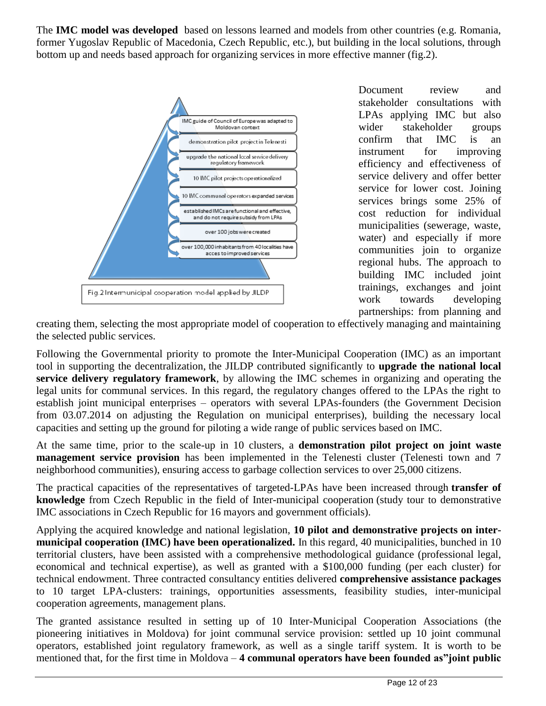The **IMC model was developed** based on lessons learned and models from other countries (e.g. Romania, former Yugoslav Republic of Macedonia, Czech Republic, etc.), but building in the local solutions, through bottom up and needs based approach for organizing services in more effective manner (fig.2).



Document review and stakeholder consultations with LPAs applying IMC but also wider stakeholder groups confirm that IMC is an instrument for improving efficiency and effectiveness of service delivery and offer better service for lower cost. Joining services brings some 25% of cost reduction for individual municipalities (sewerage, waste, water) and especially if more communities join to organize regional hubs. The approach to building IMC included joint trainings, exchanges and joint work towards developing partnerships: from planning and

creating them, selecting the most appropriate model of cooperation to effectively managing and maintaining the selected public services.

Following the Governmental priority to promote the Inter-Municipal Cooperation (IMC) as an important tool in supporting the decentralization, the JILDP contributed significantly to **upgrade the national local service delivery regulatory framework**, by allowing the IMC schemes in organizing and operating the legal units for communal services. In this regard, the regulatory changes offered to the LPAs the right to establish joint municipal enterprises – operators with several LPAs-founders (the Government Decision from 03.07.2014 on adjusting the Regulation on municipal enterprises), building the necessary local capacities and setting up the ground for piloting a wide range of public services based on IMC.

At the same time, prior to the scale-up in 10 clusters, a **demonstration pilot project on joint waste management service provision** has been implemented in the Telenesti cluster (Telenesti town and 7 neighborhood communities), ensuring access to garbage collection services to over 25,000 citizens.

The practical capacities of the representatives of targeted-LPAs have been increased through **transfer of knowledge** from Czech Republic in the field of Inter-municipal cooperation (study tour to demonstrative IMC associations in Czech Republic for 16 mayors and government officials).

Applying the acquired knowledge and national legislation, **10 pilot and demonstrative projects on intermunicipal cooperation (IMC) have been operationalized.** In this regard, 40 municipalities, bunched in 10 territorial clusters, have been assisted with a comprehensive methodological guidance (professional legal, economical and technical expertise), as well as granted with a \$100,000 funding (per each cluster) for technical endowment. Three contracted consultancy entities delivered **comprehensive assistance packages** to 10 target LPA-clusters: trainings, opportunities assessments, feasibility studies, inter-municipal cooperation agreements, management plans.

The granted assistance resulted in setting up of 10 Inter-Municipal Cooperation Associations (the pioneering initiatives in Moldova) for joint communal service provision: settled up 10 joint communal operators, established joint regulatory framework, as well as a single tariff system. It is worth to be mentioned that, for the first time in Moldova – **4 communal operators have been founded as"joint public**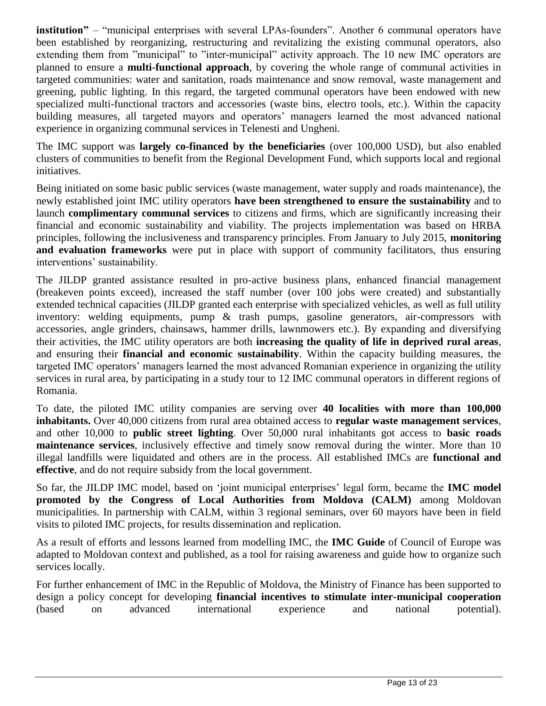**institution"** – "municipal enterprises with several LPAs-founders". Another 6 communal operators have been established by reorganizing, restructuring and revitalizing the existing communal operators, also extending them from "municipal" to "inter-municipal" activity approach. The 10 new IMC operators are planned to ensure a **multi-functional approach**, by covering the whole range of communal activities in targeted communities: water and sanitation, roads maintenance and snow removal, waste management and greening, public lighting. In this regard, the targeted communal operators have been endowed with new specialized multi-functional tractors and accessories (waste bins, electro tools, etc.). Within the capacity building measures, all targeted mayors and operators' managers learned the most advanced national experience in organizing communal services in Telenesti and Ungheni.

The IMC support was **largely co-financed by the beneficiaries** (over 100,000 USD), but also enabled clusters of communities to benefit from the Regional Development Fund, which supports local and regional initiatives.

Being initiated on some basic public services (waste management, water supply and roads maintenance), the newly established joint IMC utility operators **have been strengthened to ensure the sustainability** and to launch **complimentary communal services** to citizens and firms, which are significantly increasing their financial and economic sustainability and viability. The projects implementation was based on HRBA principles, following the inclusiveness and transparency principles. From January to July 2015, **monitoring and evaluation frameworks** were put in place with support of community facilitators, thus ensuring interventions' sustainability.

The JILDP granted assistance resulted in pro-active business plans, enhanced financial management (breakeven points exceed), increased the staff number (over 100 jobs were created) and substantially extended technical capacities (JILDP granted each enterprise with specialized vehicles, as well as full utility inventory: welding equipments, pump & trash pumps, gasoline generators, air-compressors with accessories, angle grinders, chainsaws, hammer drills, lawnmowers etc.). By expanding and diversifying their activities, the IMC utility operators are both **increasing the quality of life in deprived rural areas**, and ensuring their **financial and economic sustainability**. Within the capacity building measures, the targeted IMC operators' managers learned the most advanced Romanian experience in organizing the utility services in rural area, by participating in a study tour to 12 IMC communal operators in different regions of Romania.

To date, the piloted IMC utility companies are serving over **40 localities with more than 100,000 inhabitants.** Over 40,000 citizens from rural area obtained access to **regular waste management services**, and other 10,000 to **public street lighting**. Over 50,000 rural inhabitants got access to **basic roads maintenance services**, inclusively effective and timely snow removal during the winter. More than 10 illegal landfills were liquidated and others are in the process. All established IMCs are **functional and effective**, and do not require subsidy from the local government.

So far, the JILDP IMC model, based on 'joint municipal enterprises' legal form, became the **IMC model promoted by the Congress of Local Authorities from Moldova (CALM)** among Moldovan municipalities. In partnership with CALM, within 3 regional seminars, over 60 mayors have been in field visits to piloted IMC projects, for results dissemination and replication.

As a result of efforts and lessons learned from modelling IMC, the **IMC Guide** of Council of Europe was adapted to Moldovan context and published, as a tool for raising awareness and guide how to organize such services locally.

For further enhancement of IMC in the Republic of Moldova, the Ministry of Finance has been supported to design a policy concept for developing **financial incentives to stimulate inter-municipal cooperation** (based on advanced international experience and national potential).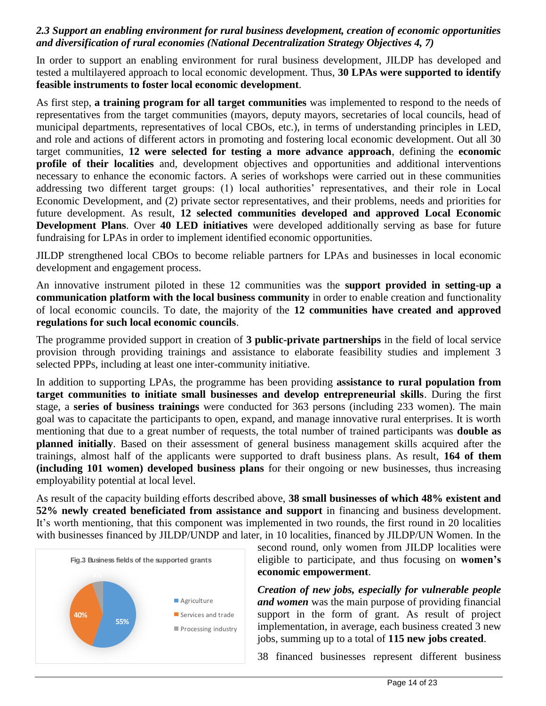#### *2.3 Support an enabling environment for rural business development, creation of economic opportunities and diversification of rural economies (National Decentralization Strategy Objectives 4, 7)*

In order to support an enabling environment for rural business development, JILDP has developed and tested a multilayered approach to local economic development. Thus, **30 LPAs were supported to identify feasible instruments to foster local economic development**.

As first step, **a training program for all target communities** was implemented to respond to the needs of representatives from the target communities (mayors, deputy mayors, secretaries of local councils, head of municipal departments, representatives of local CBOs, etc.), in terms of understanding principles in LED, and role and actions of different actors in promoting and fostering local economic development. Out all 30 target communities, **12 were selected for testing a more advance approach**, defining the **economic profile of their localities** and, development objectives and opportunities and additional interventions necessary to enhance the economic factors. A series of workshops were carried out in these communities addressing two different target groups: (1) local authorities' representatives, and their role in Local Economic Development, and (2) private sector representatives, and their problems, needs and priorities for future development. As result, **12 selected communities developed and approved Local Economic Development Plans**. Over **40 LED initiatives** were developed additionally serving as base for future fundraising for LPAs in order to implement identified economic opportunities.

JILDP strengthened local CBOs to become reliable partners for LPAs and businesses in local economic development and engagement process.

An innovative instrument piloted in these 12 communities was the **support provided in setting-up a communication platform with the local business community** in order to enable creation and functionality of local economic councils. To date, the majority of the **12 communities have created and approved regulations for such local economic councils**.

The programme provided support in creation of **3 public-private partnerships** in the field of local service provision through providing trainings and assistance to elaborate feasibility studies and implement 3 selected PPPs, including at least one inter-community initiative.

In addition to supporting LPAs, the programme has been providing **assistance to rural population from target communities to initiate small businesses and develop entrepreneurial skills**. During the first stage, a **series of business trainings** were conducted for 363 persons (including 233 women). The main goal was to capacitate the participants to open, expand, and manage innovative rural enterprises. It is worth mentioning that due to a great number of requests, the total number of trained participants was **double as planned initially**. Based on their assessment of general business management skills acquired after the trainings, almost half of the applicants were supported to draft business plans. As result, **164 of them (including 101 women) developed business plans** for their ongoing or new businesses, thus increasing employability potential at local level.

As result of the capacity building efforts described above, **38 small businesses of which 48% existent and 52% newly created beneficiated from assistance and support** in financing and business development. It's worth mentioning, that this component was implemented in two rounds, the first round in 20 localities with businesses financed by JILDP/UNDP and later, in 10 localities, financed by JILDP/UN Women. In the



second round, only women from JILDP localities were eligible to participate, and thus focusing on **women's economic empowerment**.

*Creation of new jobs, especially for vulnerable people and women* was the main purpose of providing financial support in the form of grant. As result of project implementation, in average, each business created 3 new jobs, summing up to a total of **115 new jobs created**.

38 financed businesses represent different business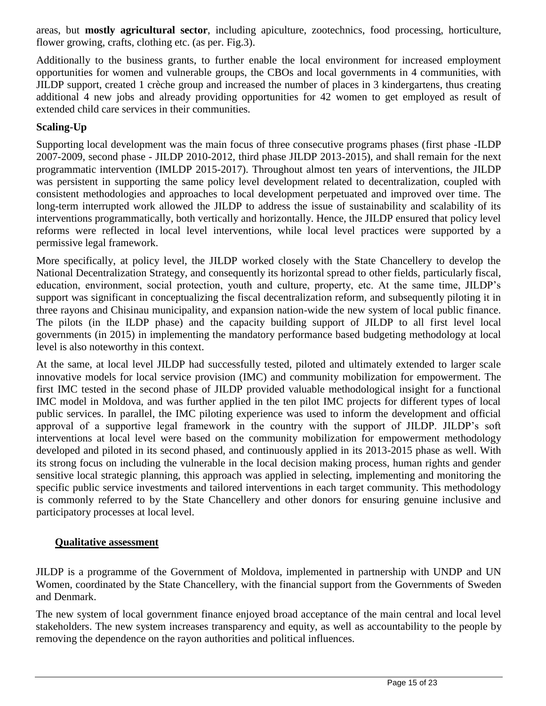areas, but **mostly agricultural sector**, including apiculture, zootechnics, food processing, horticulture, flower growing, crafts, clothing etc. (as per. Fig.3).

Additionally to the business grants, to further enable the local environment for increased employment opportunities for women and vulnerable groups, the CBOs and local governments in 4 communities, with JILDP support, created 1 crèche group and increased the number of places in 3 kindergartens, thus creating additional 4 new jobs and already providing opportunities for 42 women to get employed as result of extended child care services in their communities.

## **Scaling-Up**

Supporting local development was the main focus of three consecutive programs phases (first phase -ILDP 2007-2009, second phase - JILDP 2010-2012, third phase JILDP 2013-2015), and shall remain for the next programmatic intervention (IMLDP 2015-2017). Throughout almost ten years of interventions, the JILDP was persistent in supporting the same policy level development related to decentralization, coupled with consistent methodologies and approaches to local development perpetuated and improved over time. The long-term interrupted work allowed the JILDP to address the issue of sustainability and scalability of its interventions programmatically, both vertically and horizontally. Hence, the JILDP ensured that policy level reforms were reflected in local level interventions, while local level practices were supported by a permissive legal framework.

More specifically, at policy level, the JILDP worked closely with the State Chancellery to develop the National Decentralization Strategy, and consequently its horizontal spread to other fields, particularly fiscal, education, environment, social protection, youth and culture, property, etc. At the same time, JILDP's support was significant in conceptualizing the fiscal decentralization reform, and subsequently piloting it in three rayons and Chisinau municipality, and expansion nation-wide the new system of local public finance. The pilots (in the ILDP phase) and the capacity building support of JILDP to all first level local governments (in 2015) in implementing the mandatory performance based budgeting methodology at local level is also noteworthy in this context.

At the same, at local level JILDP had successfully tested, piloted and ultimately extended to larger scale innovative models for local service provision (IMC) and community mobilization for empowerment. The first IMC tested in the second phase of JILDP provided valuable methodological insight for a functional IMC model in Moldova, and was further applied in the ten pilot IMC projects for different types of local public services. In parallel, the IMC piloting experience was used to inform the development and official approval of a supportive legal framework in the country with the support of JILDP. JILDP's soft interventions at local level were based on the community mobilization for empowerment methodology developed and piloted in its second phased, and continuously applied in its 2013-2015 phase as well. With its strong focus on including the vulnerable in the local decision making process, human rights and gender sensitive local strategic planning, this approach was applied in selecting, implementing and monitoring the specific public service investments and tailored interventions in each target community. This methodology is commonly referred to by the State Chancellery and other donors for ensuring genuine inclusive and participatory processes at local level.

### **Qualitative assessment**

JILDP is a programme of the Government of Moldova, implemented in partnership with UNDP and UN Women, coordinated by the State Chancellery, with the financial support from the Governments of Sweden and Denmark.

The new system of local government finance enjoyed broad acceptance of the main central and local level stakeholders. The new system increases transparency and equity, as well as accountability to the people by removing the dependence on the rayon authorities and political influences.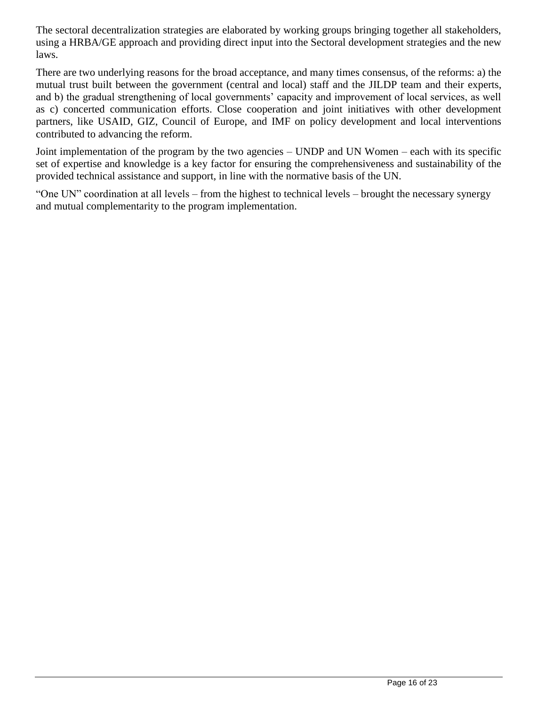The sectoral decentralization strategies are elaborated by working groups bringing together all stakeholders, using a HRBA/GE approach and providing direct input into the Sectoral development strategies and the new laws.

There are two underlying reasons for the broad acceptance, and many times consensus, of the reforms: a) the mutual trust built between the government (central and local) staff and the JILDP team and their experts, and b) the gradual strengthening of local governments' capacity and improvement of local services, as well as c) concerted communication efforts. Close cooperation and joint initiatives with other development partners, like USAID, GIZ, Council of Europe, and IMF on policy development and local interventions contributed to advancing the reform.

Joint implementation of the program by the two agencies – UNDP and UN Women – each with its specific set of expertise and knowledge is a key factor for ensuring the comprehensiveness and sustainability of the provided technical assistance and support, in line with the normative basis of the UN.

"One UN" coordination at all levels – from the highest to technical levels – brought the necessary synergy and mutual complementarity to the program implementation.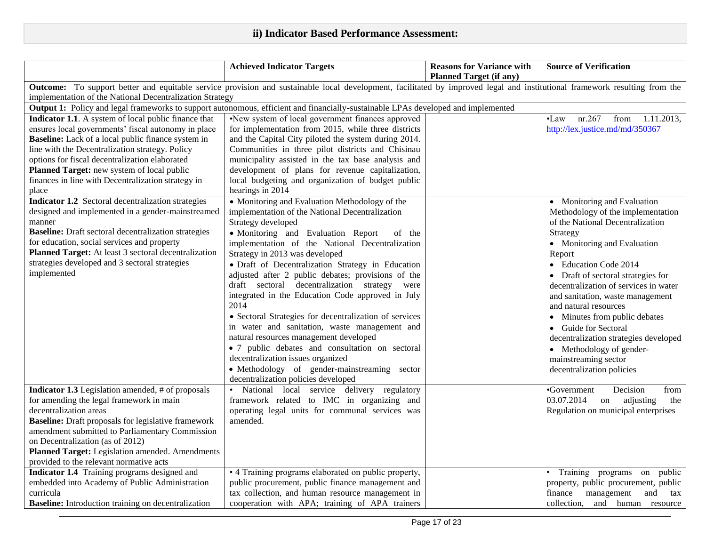|                                                                                                                                                                                   | <b>Achieved Indicator Targets</b>                      | <b>Reasons for Variance with</b> | <b>Source of Verification</b>                 |  |  |
|-----------------------------------------------------------------------------------------------------------------------------------------------------------------------------------|--------------------------------------------------------|----------------------------------|-----------------------------------------------|--|--|
|                                                                                                                                                                                   |                                                        | <b>Planned Target (if any)</b>   |                                               |  |  |
| <b>Outcome:</b> To support better and equitable service provision and sustainable local development, facilitated by improved legal and institutional framework resulting from the |                                                        |                                  |                                               |  |  |
| implementation of the National Decentralization Strategy                                                                                                                          |                                                        |                                  |                                               |  |  |
| Output 1: Policy and legal frameworks to support autonomous, efficient and financially-sustainable LPAs developed and implemented                                                 |                                                        |                                  |                                               |  |  |
| Indicator 1.1. A system of local public finance that                                                                                                                              | •New system of local government finances approved      |                                  | nr.267<br>from<br>1.11.2013,<br>$\bullet$ Law |  |  |
| ensures local governments' fiscal autonomy in place                                                                                                                               | for implementation from 2015, while three districts    |                                  | http://lex.justice.md/md/350367               |  |  |
| <b>Baseline:</b> Lack of a local public finance system in                                                                                                                         | and the Capital City piloted the system during 2014.   |                                  |                                               |  |  |
| line with the Decentralization strategy. Policy                                                                                                                                   | Communities in three pilot districts and Chisinau      |                                  |                                               |  |  |
| options for fiscal decentralization elaborated                                                                                                                                    | municipality assisted in the tax base analysis and     |                                  |                                               |  |  |
| Planned Target: new system of local public                                                                                                                                        | development of plans for revenue capitalization,       |                                  |                                               |  |  |
| finances in line with Decentralization strategy in                                                                                                                                | local budgeting and organization of budget public      |                                  |                                               |  |  |
| place                                                                                                                                                                             | hearings in 2014                                       |                                  |                                               |  |  |
| Indicator 1.2 Sectoral decentralization strategies                                                                                                                                | • Monitoring and Evaluation Methodology of the         |                                  | • Monitoring and Evaluation                   |  |  |
| designed and implemented in a gender-mainstreamed                                                                                                                                 | implementation of the National Decentralization        |                                  | Methodology of the implementation             |  |  |
| manner                                                                                                                                                                            | Strategy developed                                     |                                  | of the National Decentralization              |  |  |
| <b>Baseline:</b> Draft sectoral decentralization strategies                                                                                                                       | • Monitoring and Evaluation Report<br>of the           |                                  | Strategy                                      |  |  |
| for education, social services and property                                                                                                                                       | implementation of the National Decentralization        |                                  | • Monitoring and Evaluation                   |  |  |
| Planned Target: At least 3 sectoral decentralization                                                                                                                              | Strategy in 2013 was developed                         |                                  | Report                                        |  |  |
| strategies developed and 3 sectoral strategies                                                                                                                                    | · Draft of Decentralization Strategy in Education      |                                  | <b>Education Code 2014</b><br>$\bullet$       |  |  |
| implemented                                                                                                                                                                       | adjusted after 2 public debates; provisions of the     |                                  | • Draft of sectoral strategies for            |  |  |
|                                                                                                                                                                                   | draft sectoral decentralization strategy were          |                                  | decentralization of services in water         |  |  |
|                                                                                                                                                                                   | integrated in the Education Code approved in July      |                                  | and sanitation, waste management              |  |  |
|                                                                                                                                                                                   | 2014                                                   |                                  | and natural resources                         |  |  |
|                                                                                                                                                                                   | • Sectoral Strategies for decentralization of services |                                  | Minutes from public debates<br>$\bullet$      |  |  |
|                                                                                                                                                                                   | in water and sanitation, waste management and          |                                  | • Guide for Sectoral                          |  |  |
|                                                                                                                                                                                   | natural resources management developed                 |                                  | decentralization strategies developed         |  |  |
|                                                                                                                                                                                   | · 7 public debates and consultation on sectoral        |                                  | • Methodology of gender-                      |  |  |
|                                                                                                                                                                                   | decentralization issues organized                      |                                  | mainstreaming sector                          |  |  |
|                                                                                                                                                                                   | · Methodology of gender-mainstreaming sector           |                                  | decentralization policies                     |  |  |
|                                                                                                                                                                                   | decentralization policies developed                    |                                  |                                               |  |  |
| <b>Indicator 1.3</b> Legislation amended, # of proposals                                                                                                                          | National local service delivery regulatory             |                                  | Decision<br>•Government<br>from               |  |  |
| for amending the legal framework in main                                                                                                                                          | framework related to IMC in organizing and             |                                  | 03.07.2014<br>adjusting<br>on<br>the          |  |  |
| decentralization areas                                                                                                                                                            | operating legal units for communal services was        |                                  | Regulation on municipal enterprises           |  |  |
| <b>Baseline:</b> Draft proposals for legislative framework                                                                                                                        | amended.                                               |                                  |                                               |  |  |
| amendment submitted to Parliamentary Commission                                                                                                                                   |                                                        |                                  |                                               |  |  |
| on Decentralization (as of 2012)                                                                                                                                                  |                                                        |                                  |                                               |  |  |
| Planned Target: Legislation amended. Amendments                                                                                                                                   |                                                        |                                  |                                               |  |  |
| provided to the relevant normative acts                                                                                                                                           |                                                        |                                  |                                               |  |  |
| Indicator 1.4 Training programs designed and                                                                                                                                      | • 4 Training programs elaborated on public property,   |                                  | • Training programs on<br>public              |  |  |
| embedded into Academy of Public Administration                                                                                                                                    | public procurement, public finance management and      |                                  | property, public procurement, public          |  |  |
| curricula                                                                                                                                                                         | tax collection, and human resource management in       |                                  | management<br>finance<br>and<br>tax           |  |  |
| <b>Baseline:</b> Introduction training on decentralization                                                                                                                        | cooperation with APA; training of APA trainers         |                                  | collection,<br>and human resource             |  |  |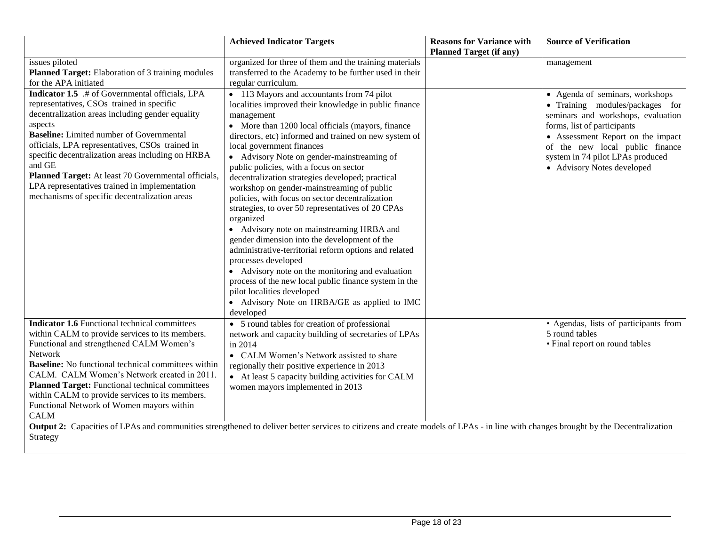|                                                                                                                                                                                                                                                                                                                                                                                                                                                                                                  | <b>Achieved Indicator Targets</b>                                                                                                                                                                                                                                                                                                                                                                                                                                                                                                                                                                                                                                                                                                                                                                                                                                                                                                                                 | <b>Reasons for Variance with</b><br><b>Planned Target (if any)</b> | <b>Source of Verification</b>                                                                                                                                                                                                                                                     |
|--------------------------------------------------------------------------------------------------------------------------------------------------------------------------------------------------------------------------------------------------------------------------------------------------------------------------------------------------------------------------------------------------------------------------------------------------------------------------------------------------|-------------------------------------------------------------------------------------------------------------------------------------------------------------------------------------------------------------------------------------------------------------------------------------------------------------------------------------------------------------------------------------------------------------------------------------------------------------------------------------------------------------------------------------------------------------------------------------------------------------------------------------------------------------------------------------------------------------------------------------------------------------------------------------------------------------------------------------------------------------------------------------------------------------------------------------------------------------------|--------------------------------------------------------------------|-----------------------------------------------------------------------------------------------------------------------------------------------------------------------------------------------------------------------------------------------------------------------------------|
| issues piloted<br>Planned Target: Elaboration of 3 training modules<br>for the APA initiated                                                                                                                                                                                                                                                                                                                                                                                                     | organized for three of them and the training materials<br>transferred to the Academy to be further used in their<br>regular curriculum.                                                                                                                                                                                                                                                                                                                                                                                                                                                                                                                                                                                                                                                                                                                                                                                                                           |                                                                    | management                                                                                                                                                                                                                                                                        |
| <b>Indicator 1.5</b> .# of Governmental officials, LPA<br>representatives, CSOs trained in specific<br>decentralization areas including gender equality<br>aspects<br><b>Baseline:</b> Limited number of Governmental<br>officials, LPA representatives, CSOs trained in<br>specific decentralization areas including on HRBA<br>and GE<br>Planned Target: At least 70 Governmental officials,<br>LPA representatives trained in implementation<br>mechanisms of specific decentralization areas | • 113 Mayors and accountants from 74 pilot<br>localities improved their knowledge in public finance<br>management<br>• More than 1200 local officials (mayors, finance<br>directors, etc) informed and trained on new system of<br>local government finances<br>• Advisory Note on gender-mainstreaming of<br>public policies, with a focus on sector<br>decentralization strategies developed; practical<br>workshop on gender-mainstreaming of public<br>policies, with focus on sector decentralization<br>strategies, to over 50 representatives of 20 CPAs<br>organized<br>• Advisory note on mainstreaming HRBA and<br>gender dimension into the development of the<br>administrative-territorial reform options and related<br>processes developed<br>• Advisory note on the monitoring and evaluation<br>process of the new local public finance system in the<br>pilot localities developed<br>• Advisory Note on HRBA/GE as applied to IMC<br>developed |                                                                    | • Agenda of seminars, workshops<br>• Training modules/packages for<br>seminars and workshops, evaluation<br>forms, list of participants<br>• Assessment Report on the impact<br>of the new local public finance<br>system in 74 pilot LPAs produced<br>• Advisory Notes developed |
| <b>Indicator 1.6</b> Functional technical committees<br>within CALM to provide services to its members.<br>Functional and strengthened CALM Women's<br>Network<br><b>Baseline:</b> No functional technical committees within<br>CALM. CALM Women's Network created in 2011.<br><b>Planned Target:</b> Functional technical committees<br>within CALM to provide services to its members.<br>Functional Network of Women mayors within<br><b>CALM</b>                                             | • 5 round tables for creation of professional<br>network and capacity building of secretaries of LPAs<br>in 2014<br>• CALM Women's Network assisted to share<br>regionally their positive experience in 2013<br>• At least 5 capacity building activities for CALM<br>women mayors implemented in 2013<br>Output 2: Capacities of LPAs and communities strengthened to deliver better services to citizens and create models of LPAs - in line with changes brought by the Decentralization                                                                                                                                                                                                                                                                                                                                                                                                                                                                       |                                                                    | • Agendas, lists of participants from<br>5 round tables<br>• Final report on round tables                                                                                                                                                                                         |
| Strategy                                                                                                                                                                                                                                                                                                                                                                                                                                                                                         |                                                                                                                                                                                                                                                                                                                                                                                                                                                                                                                                                                                                                                                                                                                                                                                                                                                                                                                                                                   |                                                                    |                                                                                                                                                                                                                                                                                   |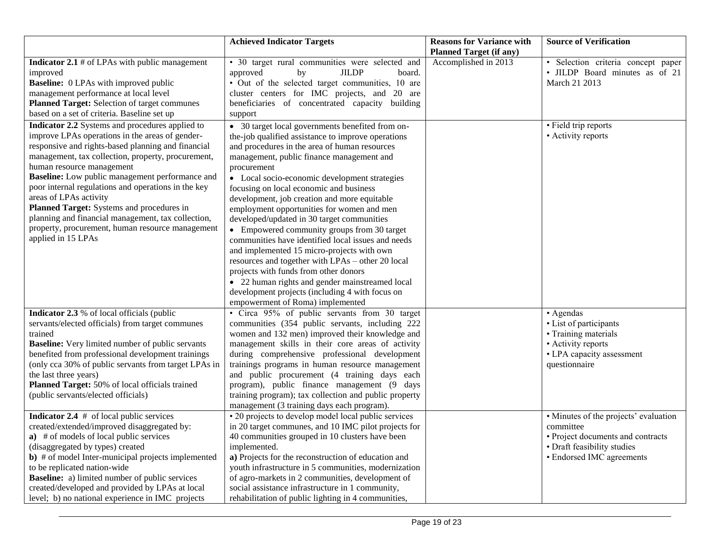|                                                                                                                                                                                                                                                                                                                                                                                                                                                                                                                                                                                                                                              | <b>Achieved Indicator Targets</b>                                                                                                                                                                                                                                                                                                                                                                                                                                                                                                                                                                                                | <b>Reasons for Variance with</b> | <b>Source of Verification</b>                                                                                                                       |
|----------------------------------------------------------------------------------------------------------------------------------------------------------------------------------------------------------------------------------------------------------------------------------------------------------------------------------------------------------------------------------------------------------------------------------------------------------------------------------------------------------------------------------------------------------------------------------------------------------------------------------------------|----------------------------------------------------------------------------------------------------------------------------------------------------------------------------------------------------------------------------------------------------------------------------------------------------------------------------------------------------------------------------------------------------------------------------------------------------------------------------------------------------------------------------------------------------------------------------------------------------------------------------------|----------------------------------|-----------------------------------------------------------------------------------------------------------------------------------------------------|
|                                                                                                                                                                                                                                                                                                                                                                                                                                                                                                                                                                                                                                              |                                                                                                                                                                                                                                                                                                                                                                                                                                                                                                                                                                                                                                  | <b>Planned Target (if any)</b>   |                                                                                                                                                     |
| <b>Indicator 2.1</b> # of LPAs with public management<br>improved<br><b>Baseline:</b> 0 LPAs with improved public<br>management performance at local level<br>Planned Target: Selection of target communes<br>based on a set of criteria. Baseline set up<br>Indicator 2.2 Systems and procedures applied to<br>improve LPAs operations in the areas of gender-<br>responsive and rights-based planning and financial<br>management, tax collection, property, procurement,<br>human resource management<br>Baseline: Low public management performance and<br>poor internal regulations and operations in the key<br>areas of LPAs activity | • 30 target rural communities were selected and<br>by<br><b>JILDP</b><br>approved<br>board.<br>• Out of the selected target communities, 10 are<br>cluster centers for IMC projects, and 20 are<br>beneficiaries of concentrated capacity building<br>support<br>• 30 target local governments benefited from on-<br>the-job qualified assistance to improve operations<br>and procedures in the area of human resources<br>management, public finance management and<br>procurement<br>• Local socio-economic development strategies<br>focusing on local economic and business<br>development, job creation and more equitable | Accomplished in 2013             | · Selection criteria concept paper<br>• JILDP Board minutes as of 21<br>March 21 2013<br>• Field trip reports<br>• Activity reports                 |
| Planned Target: Systems and procedures in<br>planning and financial management, tax collection,<br>property, procurement, human resource management<br>applied in 15 LPAs                                                                                                                                                                                                                                                                                                                                                                                                                                                                    | employment opportunities for women and men<br>developed/updated in 30 target communities<br>• Empowered community groups from 30 target<br>communities have identified local issues and needs<br>and implemented 15 micro-projects with own<br>resources and together with LPAs - other 20 local<br>projects with funds from other donors<br>• 22 human rights and gender mainstreamed local<br>development projects (including 4 with focus on<br>empowerment of Roma) implemented                                                                                                                                              |                                  |                                                                                                                                                     |
| <b>Indicator 2.3</b> % of local officials (public<br>servants/elected officials) from target communes<br>trained<br><b>Baseline:</b> Very limited number of public servants<br>benefited from professional development trainings<br>(only cca 30% of public servants from target LPAs in<br>the last three years)<br>Planned Target: 50% of local officials trained<br>(public servants/elected officials)                                                                                                                                                                                                                                   | • Circa 95% of public servants from 30 target<br>communities (354 public servants, including 222<br>women and 132 men) improved their knowledge and<br>management skills in their core areas of activity<br>during comprehensive professional development<br>trainings programs in human resource management<br>and public procurement (4 training days each<br>program), public finance management (9 days<br>training program); tax collection and public property<br>management (3 training days each program).                                                                                                               |                                  | • Agendas<br>• List of participants<br>• Training materials<br>• Activity reports<br>• LPA capacity assessment<br>questionnaire                     |
| <b>Indicator 2.4</b> $#$ of local public services<br>created/extended/improved disaggregated by:<br>a) # of models of local public services<br>(disaggregated by types) created<br><b>b</b> ) # of model Inter-municipal projects implemented<br>to be replicated nation-wide<br><b>Baseline:</b> a) limited number of public services<br>created/developed and provided by LPAs at local<br>level; b) no national experience in IMC projects                                                                                                                                                                                                | • 20 projects to develop model local public services<br>in 20 target communes, and 10 IMC pilot projects for<br>40 communities grouped in 10 clusters have been<br>implemented.<br>a) Projects for the reconstruction of education and<br>youth infrastructure in 5 communities, modernization<br>of agro-markets in 2 communities, development of<br>social assistance infrastructure in 1 community,<br>rehabilitation of public lighting in 4 communities,                                                                                                                                                                    |                                  | • Minutes of the projects' evaluation<br>committee<br>• Project documents and contracts<br>• Draft feasibility studies<br>• Endorsed IMC agreements |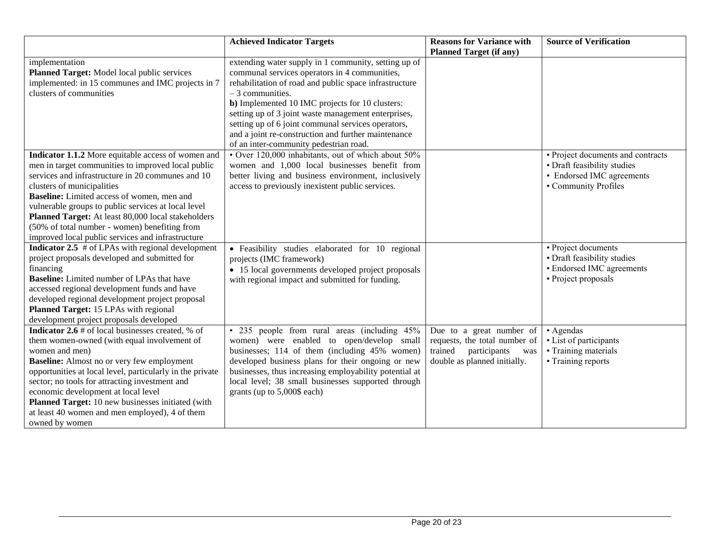|                                                            | <b>Achieved Indicator Targets</b>                      | <b>Reasons for Variance with</b> | <b>Source of Verification</b>     |
|------------------------------------------------------------|--------------------------------------------------------|----------------------------------|-----------------------------------|
|                                                            |                                                        | <b>Planned Target (if any)</b>   |                                   |
| implementation                                             | extending water supply in 1 community, setting up of   |                                  |                                   |
| Planned Target: Model local public services                | communal services operators in 4 communities,          |                                  |                                   |
| implemented: in 15 communes and IMC projects in 7          | rehabilitation of road and public space infrastructure |                                  |                                   |
| clusters of communities                                    | $-3$ communities.                                      |                                  |                                   |
|                                                            | b) Implemented 10 IMC projects for 10 clusters:        |                                  |                                   |
|                                                            | setting up of 3 joint waste management enterprises,    |                                  |                                   |
|                                                            | setting up of 6 joint communal services operators,     |                                  |                                   |
|                                                            | and a joint re-construction and further maintenance    |                                  |                                   |
|                                                            | of an inter-community pedestrian road.                 |                                  |                                   |
| Indicator 1.1.2 More equitable access of women and         | • Over 120,000 inhabitants, out of which about 50%     |                                  | • Project documents and contracts |
| men in target communities to improved local public         | women and 1,000 local businesses benefit from          |                                  | • Draft feasibility studies       |
| services and infrastructure in 20 communes and 10          | better living and business environment, inclusively    |                                  | • Endorsed IMC agreements         |
| clusters of municipalities                                 | access to previously inexistent public services.       |                                  | • Community Profiles              |
| Baseline: Limited access of women, men and                 |                                                        |                                  |                                   |
| vulnerable groups to public services at local level        |                                                        |                                  |                                   |
| Planned Target: At least 80,000 local stakeholders         |                                                        |                                  |                                   |
| (50% of total number - women) benefiting from              |                                                        |                                  |                                   |
| improved local public services and infrastructure          |                                                        |                                  |                                   |
| <b>Indicator 2.5</b> $#$ of LPAs with regional development | • Feasibility studies elaborated for 10 regional       |                                  | • Project documents               |
| project proposals developed and submitted for              | projects (IMC framework)                               |                                  | • Draft feasibility studies       |
| financing                                                  | • 15 local governments developed project proposals     |                                  | • Endorsed IMC agreements         |
| <b>Baseline:</b> Limited number of LPAs that have          | with regional impact and submitted for funding.        |                                  | • Project proposals               |
| accessed regional development funds and have               |                                                        |                                  |                                   |
| developed regional development project proposal            |                                                        |                                  |                                   |
| Planned Target: 15 LPAs with regional                      |                                                        |                                  |                                   |
| development project proposals developed                    |                                                        |                                  |                                   |
| <b>Indicator 2.6</b> # of local businesses created, % of   | • 235 people from rural areas (including 45%           | Due to a great number of         | • Agendas                         |
| them women-owned (with equal involvement of                | women) were enabled to open/develop small              | requests, the total number of    | • List of participants            |
| women and men)                                             | businesses; 114 of them (including 45% women)          | trained<br>participants<br>was   | • Training materials              |
| <b>Baseline:</b> Almost no or very few employment          | developed business plans for their ongoing or new      | double as planned initially.     | • Training reports                |
| opportunities at local level, particularly in the private  | businesses, thus increasing employability potential at |                                  |                                   |
| sector; no tools for attracting investment and             | local level; 38 small businesses supported through     |                                  |                                   |
| economic development at local level                        | grants (up to 5,000\$ each)                            |                                  |                                   |
| Planned Target: 10 new businesses initiated (with          |                                                        |                                  |                                   |
| at least 40 women and men employed), 4 of them             |                                                        |                                  |                                   |
| owned by women                                             |                                                        |                                  |                                   |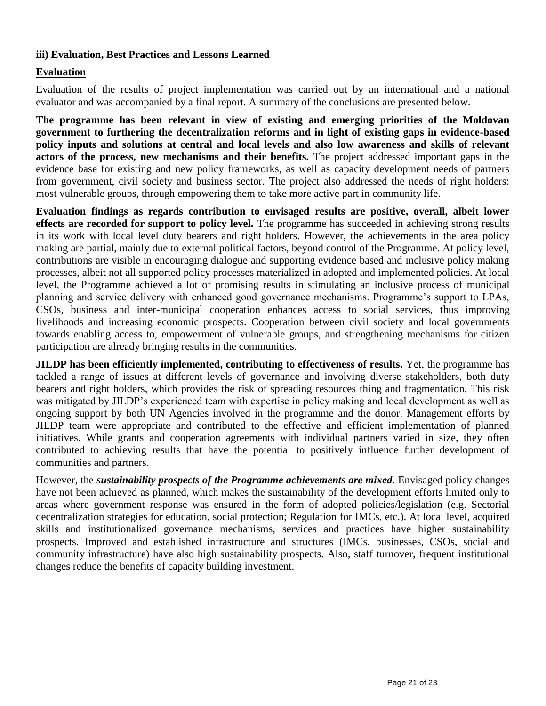#### **iii) Evaluation, Best Practices and Lessons Learned**

#### **Evaluation**

Evaluation of the results of project implementation was carried out by an international and a national evaluator and was accompanied by a final report. A summary of the conclusions are presented below.

**The programme has been relevant in view of existing and emerging priorities of the Moldovan government to furthering the decentralization reforms and in light of existing gaps in evidence-based policy inputs and solutions at central and local levels and also low awareness and skills of relevant actors of the process, new mechanisms and their benefits.** The project addressed important gaps in the evidence base for existing and new policy frameworks, as well as capacity development needs of partners from government, civil society and business sector. The project also addressed the needs of right holders: most vulnerable groups, through empowering them to take more active part in community life.

**Evaluation findings as regards contribution to envisaged results are positive, overall, albeit lower effects are recorded for support to policy level.** The programme has succeeded in achieving strong results in its work with local level duty bearers and right holders. However, the achievements in the area policy making are partial, mainly due to external political factors, beyond control of the Programme. At policy level, contributions are visible in encouraging dialogue and supporting evidence based and inclusive policy making processes, albeit not all supported policy processes materialized in adopted and implemented policies. At local level, the Programme achieved a lot of promising results in stimulating an inclusive process of municipal planning and service delivery with enhanced good governance mechanisms. Programme's support to LPAs, CSOs, business and inter-municipal cooperation enhances access to social services, thus improving livelihoods and increasing economic prospects. Cooperation between civil society and local governments towards enabling access to, empowerment of vulnerable groups, and strengthening mechanisms for citizen participation are already bringing results in the communities.

**JILDP** has been efficiently implemented, contributing to effectiveness of results. Yet, the programme has tackled a range of issues at different levels of governance and involving diverse stakeholders, both duty bearers and right holders, which provides the risk of spreading resources thing and fragmentation. This risk was mitigated by JILDP's experienced team with expertise in policy making and local development as well as ongoing support by both UN Agencies involved in the programme and the donor. Management efforts by JILDP team were appropriate and contributed to the effective and efficient implementation of planned initiatives. While grants and cooperation agreements with individual partners varied in size, they often contributed to achieving results that have the potential to positively influence further development of communities and partners.

However, the *sustainability prospects of the Programme achievements are mixed*. Envisaged policy changes have not been achieved as planned, which makes the sustainability of the development efforts limited only to areas where government response was ensured in the form of adopted policies/legislation (e.g. Sectorial decentralization strategies for education, social protection; Regulation for IMCs, etc.). At local level, acquired skills and institutionalized governance mechanisms, services and practices have higher sustainability prospects. Improved and established infrastructure and structures (IMCs, businesses, CSOs, social and community infrastructure) have also high sustainability prospects. Also, staff turnover, frequent institutional changes reduce the benefits of capacity building investment.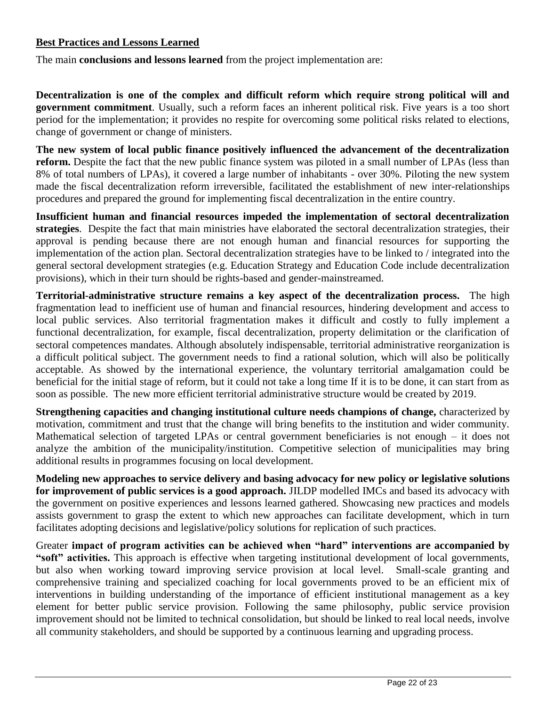#### **Best Practices and Lessons Learned**

The main **conclusions and lessons learned** from the project implementation are:

**Decentralization is one of the complex and difficult reform which require strong political will and government commitment**. Usually, such a reform faces an inherent political risk. Five years is a too short period for the implementation; it provides no respite for overcoming some political risks related to elections, change of government or change of ministers.

**The new system of local public finance positively influenced the advancement of the decentralization reform.** Despite the fact that the new public finance system was piloted in a small number of LPAs (less than 8% of total numbers of LPAs), it covered a large number of inhabitants - over 30%. Piloting the new system made the fiscal decentralization reform irreversible, facilitated the establishment of new inter-relationships procedures and prepared the ground for implementing fiscal decentralization in the entire country.

**Insufficient human and financial resources impeded the implementation of sectoral decentralization strategies**. Despite the fact that main ministries have elaborated the sectoral decentralization strategies, their approval is pending because there are not enough human and financial resources for supporting the implementation of the action plan. Sectoral decentralization strategies have to be linked to / integrated into the general sectoral development strategies (e.g. Education Strategy and Education Code include decentralization provisions), which in their turn should be rights-based and gender-mainstreamed.

**Territorial-administrative structure remains a key aspect of the decentralization process.** The high fragmentation lead to inefficient use of human and financial resources, hindering development and access to local public services. Also territorial fragmentation makes it difficult and costly to fully implement a functional decentralization, for example, fiscal decentralization, property delimitation or the clarification of sectoral competences mandates. Although absolutely indispensable, territorial administrative reorganization is a difficult political subject. The government needs to find a rational solution, which will also be politically acceptable. As showed by the international experience, the voluntary territorial amalgamation could be beneficial for the initial stage of reform, but it could not take a long time If it is to be done, it can start from as soon as possible. The new more efficient territorial administrative structure would be created by 2019.

**Strengthening capacities and changing institutional culture needs champions of change, characterized by** motivation, commitment and trust that the change will bring benefits to the institution and wider community. Mathematical selection of targeted LPAs or central government beneficiaries is not enough – it does not analyze the ambition of the municipality/institution. Competitive selection of municipalities may bring additional results in programmes focusing on local development.

**Modeling new approaches to service delivery and basing advocacy for new policy or legislative solutions for improvement of public services is a good approach.** JILDP modelled IMCs and based its advocacy with the government on positive experiences and lessons learned gathered. Showcasing new practices and models assists government to grasp the extent to which new approaches can facilitate development, which in turn facilitates adopting decisions and legislative/policy solutions for replication of such practices.

Greater **impact of program activities can be achieved when "hard" interventions are accompanied by "soft" activities.** This approach is effective when targeting institutional development of local governments, but also when working toward improving service provision at local level. Small-scale granting and comprehensive training and specialized coaching for local governments proved to be an efficient mix of interventions in building understanding of the importance of efficient institutional management as a key element for better public service provision. Following the same philosophy, public service provision improvement should not be limited to technical consolidation, but should be linked to real local needs, involve all community stakeholders, and should be supported by a continuous learning and upgrading process.